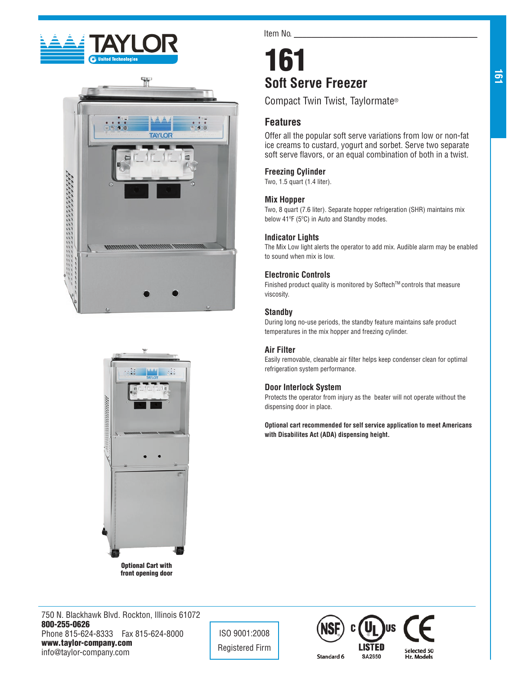





front opening door

Item No.

# 161 **Soft Serve Freezer**

Compact Twin Twist, Taylormate®

# **Features**

Offer all the popular soft serve variations from low or non-fat ice creams to custard, yogurt and sorbet. Serve two separate soft serve flavors, or an equal combination of both in a twist.

# **Freezing Cylinder**

Two, 1.5 quart (1.4 liter).

# **Mix Hopper**

Two, 8 quart (7.6 liter). Separate hopper refrigeration (SHR) maintains mix below 41ºF (5ºC) in Auto and Standby modes.

# **Indicator Lights**

The Mix Low light alerts the operator to add mix. Audible alarm may be enabled to sound when mix is low.

# **Electronic Controls**

Finished product quality is monitored by Softech™ controls that measure viscosity.

# **Standby**

During long no-use periods, the standby feature maintains safe product temperatures in the mix hopper and freezing cylinder.

# **Air Filter**

Easily removable, cleanable air filter helps keep condenser clean for optimal refrigeration system performance.

# **Door Interlock System**

Protects the operator from injury as the beater will not operate without the dispensing door in place.

**Optional cart recommended for self service application to meet Americans with Disabilites Act (ADA) dispensing height.**

750 N. Blackhawk Blvd. Rockton, Illinois 61072 800-255-0626 Phone 815-624-8333 Fax 815-624-8000 www.taylor-company.com info@taylor-company.com

ISO 9001:2008 Registered Firm